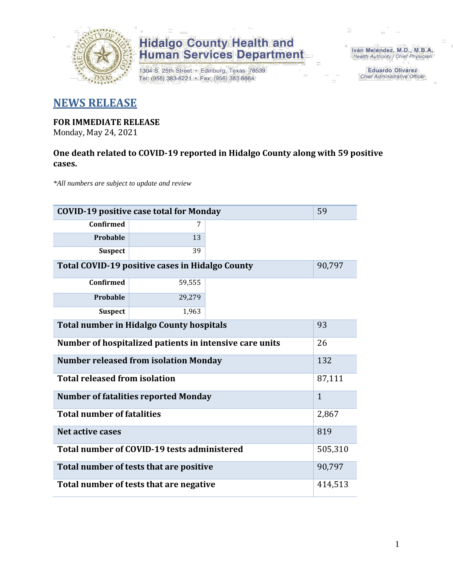

# **Hidalgo County Health and<br>Human Services Department**

1304 S. 25th Street · Edinburg, Texas 78539 Tel: (956) 383-6221 · Fax: (956) 383-8864

Iván Meléndez, M.D., M.B.A. Health Authority / Chief Physician

> **Eduardo Olivarez** Chief Administrative Officer

### **NEWS RELEASE**

## **FOR IMMEDIATE RELEASE**

Monday, May 24, 2021

#### **One death related to COVID-19 reported in Hidalgo County along with 59 positive cases.**

*\*All numbers are subject to update and review*

| <b>COVID-19 positive case total for Monday</b>          |              |        |  |  |
|---------------------------------------------------------|--------------|--------|--|--|
| <b>Confirmed</b>                                        | 7            |        |  |  |
| Probable                                                | 13           |        |  |  |
| <b>Suspect</b>                                          | 39           |        |  |  |
| Total COVID-19 positive cases in Hidalgo County         |              | 90,797 |  |  |
| <b>Confirmed</b>                                        | 59,555       |        |  |  |
| Probable                                                | 29,279       |        |  |  |
| <b>Suspect</b>                                          | 1,963        |        |  |  |
| <b>Total number in Hidalgo County hospitals</b>         | 93           |        |  |  |
| Number of hospitalized patients in intensive care units | 26           |        |  |  |
| <b>Number released from isolation Monday</b>            | 132          |        |  |  |
| <b>Total released from isolation</b>                    | 87,111       |        |  |  |
| <b>Number of fatalities reported Monday</b>             | $\mathbf{1}$ |        |  |  |
| <b>Total number of fatalities</b>                       | 2,867        |        |  |  |
| Net active cases                                        | 819          |        |  |  |
| Total number of COVID-19 tests administered             | 505,310      |        |  |  |
| Total number of tests that are positive                 | 90,797       |        |  |  |
| Total number of tests that are negative                 | 414,513      |        |  |  |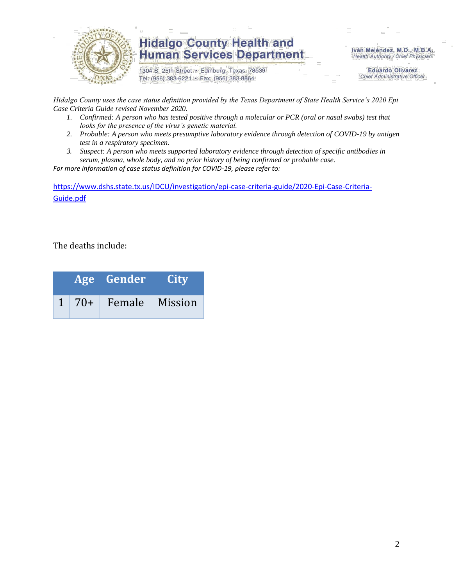

### **Hidalgo County Health and Human Services Department**

1304 S. 25th Street · Edinburg, Texas 78539 Tel: (956) 383-6221 · Fax: (956) 383-8864

Iván Meléndez, M.D., M.B.A. Health Authority / Chief Physician

> **Eduardo Olivarez Chief Administrative Officer**

*Hidalgo County uses the case status definition provided by the Texas Department of State Health Service's 2020 Epi Case Criteria Guide revised November 2020.*

- *1. Confirmed: A person who has tested positive through a molecular or PCR (oral or nasal swabs) test that looks for the presence of the virus's genetic material.*
- *2. Probable: A person who meets presumptive laboratory evidence through detection of COVID-19 by antigen test in a respiratory specimen.*
- *3. Suspect: A person who meets supported laboratory evidence through detection of specific antibodies in serum, plasma, whole body, and no prior history of being confirmed or probable case.*

*For more information of case status definition for COVID-19, please refer to:*

[https://www.dshs.state.tx.us/IDCU/investigation/epi-case-criteria-guide/2020-Epi-Case-Criteria-](https://www.dshs.state.tx.us/IDCU/investigation/epi-case-criteria-guide/2020-Epi-Case-Criteria-Guide.pdf)[Guide.pdf](https://www.dshs.state.tx.us/IDCU/investigation/epi-case-criteria-guide/2020-Epi-Case-Criteria-Guide.pdf)

The deaths include:

|  | Age Gender                  | <b>City</b> |
|--|-----------------------------|-------------|
|  | $1 \mid 70+$ Female Mission |             |